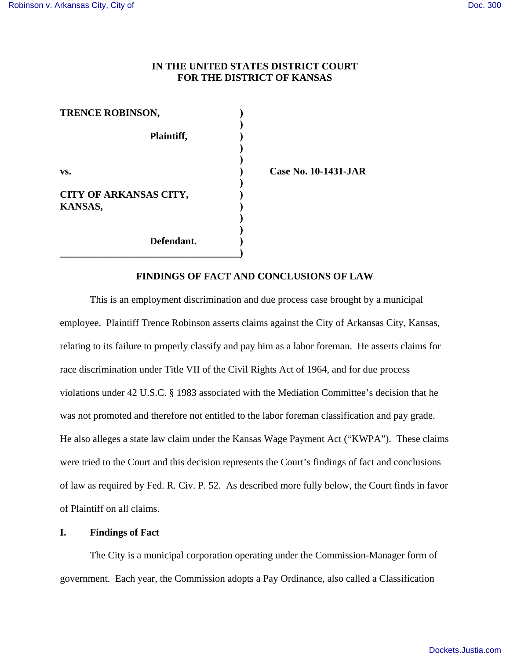# **IN THE UNITED STATES DISTRICT COURT FOR THE DISTRICT OF KANSAS**

| <b>TRENCE ROBINSON,</b> |  |
|-------------------------|--|
|                         |  |
| Plaintiff,              |  |
|                         |  |
|                         |  |
| VS.                     |  |
|                         |  |
| CITY OF ARKANSAS CITY,  |  |
| <b>KANSAS,</b>          |  |
|                         |  |
| Defendant.              |  |
|                         |  |

**vs. ) Case No. 10-1431-JAR**

### **FINDINGS OF FACT AND CONCLUSIONS OF LAW**

This is an employment discrimination and due process case brought by a municipal employee. Plaintiff Trence Robinson asserts claims against the City of Arkansas City, Kansas, relating to its failure to properly classify and pay him as a labor foreman. He asserts claims for race discrimination under Title VII of the Civil Rights Act of 1964, and for due process violations under 42 U.S.C. § 1983 associated with the Mediation Committee's decision that he was not promoted and therefore not entitled to the labor foreman classification and pay grade. He also alleges a state law claim under the Kansas Wage Payment Act ("KWPA"). These claims were tried to the Court and this decision represents the Court's findings of fact and conclusions of law as required by Fed. R. Civ. P. 52. As described more fully below, the Court finds in favor of Plaintiff on all claims.

### **I. Findings of Fact**

The City is a municipal corporation operating under the Commission-Manager form of government. Each year, the Commission adopts a Pay Ordinance, also called a Classification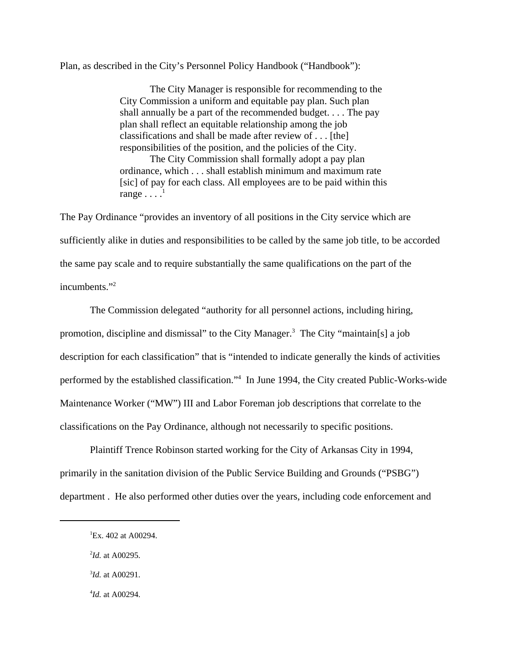Plan, as described in the City's Personnel Policy Handbook ("Handbook"):

The City Manager is responsible for recommending to the City Commission a uniform and equitable pay plan. Such plan shall annually be a part of the recommended budget. . . . The pay plan shall reflect an equitable relationship among the job classifications and shall be made after review of . . . [the] responsibilities of the position, and the policies of the City.

The City Commission shall formally adopt a pay plan ordinance, which . . . shall establish minimum and maximum rate [sic] of pay for each class. All employees are to be paid within this range  $\ldots$ <sup>1</sup>

The Pay Ordinance "provides an inventory of all positions in the City service which are sufficiently alike in duties and responsibilities to be called by the same job title, to be accorded the same pay scale and to require substantially the same qualifications on the part of the incumbents."<sup>2</sup>

The Commission delegated "authority for all personnel actions, including hiring, promotion, discipline and dismissal" to the City Manager.<sup>3</sup> The City "maintain[s] a job description for each classification" that is "intended to indicate generally the kinds of activities performed by the established classification."<sup>4</sup> In June 1994, the City created Public-Works-wide Maintenance Worker ("MW") III and Labor Foreman job descriptions that correlate to the classifications on the Pay Ordinance, although not necessarily to specific positions.

Plaintiff Trence Robinson started working for the City of Arkansas City in 1994, primarily in the sanitation division of the Public Service Building and Grounds ("PSBG") department . He also performed other duties over the years, including code enforcement and

- 3 *Id.* at A00291.
- 4 *Id.* at A00294.

<sup>&</sup>lt;sup>1</sup>Ex. 402 at A00294.

<sup>2</sup> *Id.* at A00295.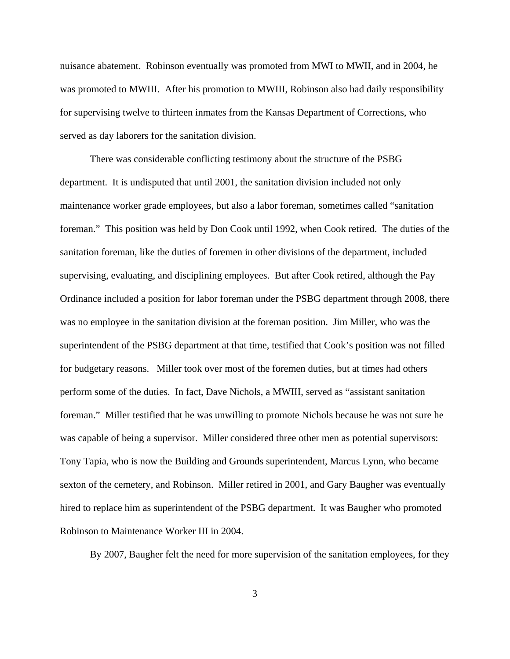nuisance abatement. Robinson eventually was promoted from MWI to MWII, and in 2004, he was promoted to MWIII. After his promotion to MWIII, Robinson also had daily responsibility for supervising twelve to thirteen inmates from the Kansas Department of Corrections, who served as day laborers for the sanitation division.

There was considerable conflicting testimony about the structure of the PSBG department. It is undisputed that until 2001, the sanitation division included not only maintenance worker grade employees, but also a labor foreman, sometimes called "sanitation foreman." This position was held by Don Cook until 1992, when Cook retired. The duties of the sanitation foreman, like the duties of foremen in other divisions of the department, included supervising, evaluating, and disciplining employees. But after Cook retired, although the Pay Ordinance included a position for labor foreman under the PSBG department through 2008, there was no employee in the sanitation division at the foreman position. Jim Miller, who was the superintendent of the PSBG department at that time, testified that Cook's position was not filled for budgetary reasons. Miller took over most of the foremen duties, but at times had others perform some of the duties. In fact, Dave Nichols, a MWIII, served as "assistant sanitation foreman." Miller testified that he was unwilling to promote Nichols because he was not sure he was capable of being a supervisor. Miller considered three other men as potential supervisors: Tony Tapia, who is now the Building and Grounds superintendent, Marcus Lynn, who became sexton of the cemetery, and Robinson. Miller retired in 2001, and Gary Baugher was eventually hired to replace him as superintendent of the PSBG department. It was Baugher who promoted Robinson to Maintenance Worker III in 2004.

By 2007, Baugher felt the need for more supervision of the sanitation employees, for they

3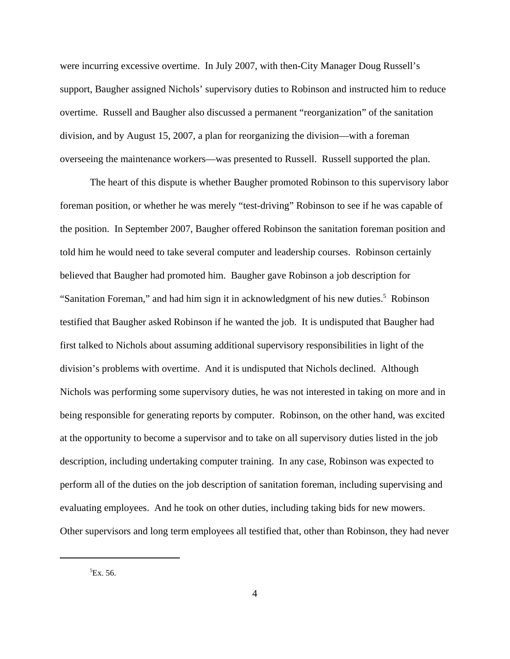were incurring excessive overtime. In July 2007, with then-City Manager Doug Russell's support, Baugher assigned Nichols' supervisory duties to Robinson and instructed him to reduce overtime. Russell and Baugher also discussed a permanent "reorganization" of the sanitation division, and by August 15, 2007, a plan for reorganizing the division—with a foreman overseeing the maintenance workers—was presented to Russell. Russell supported the plan.

The heart of this dispute is whether Baugher promoted Robinson to this supervisory labor foreman position, or whether he was merely "test-driving" Robinson to see if he was capable of the position. In September 2007, Baugher offered Robinson the sanitation foreman position and told him he would need to take several computer and leadership courses. Robinson certainly believed that Baugher had promoted him. Baugher gave Robinson a job description for "Sanitation Foreman," and had him sign it in acknowledgment of his new duties.<sup>5</sup> Robinson testified that Baugher asked Robinson if he wanted the job. It is undisputed that Baugher had first talked to Nichols about assuming additional supervisory responsibilities in light of the division's problems with overtime. And it is undisputed that Nichols declined. Although Nichols was performing some supervisory duties, he was not interested in taking on more and in being responsible for generating reports by computer. Robinson, on the other hand, was excited at the opportunity to become a supervisor and to take on all supervisory duties listed in the job description, including undertaking computer training. In any case, Robinson was expected to perform all of the duties on the job description of sanitation foreman, including supervising and evaluating employees. And he took on other duties, including taking bids for new mowers. Other supervisors and long term employees all testified that, other than Robinson, they had never

 ${}^{5}Ex.56.$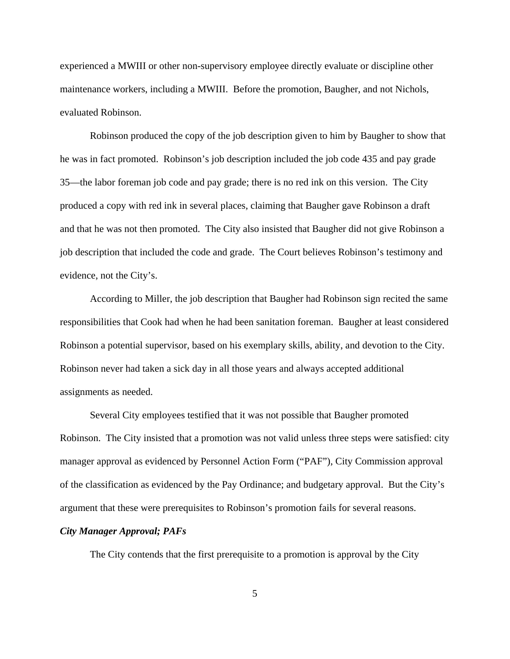experienced a MWIII or other non-supervisory employee directly evaluate or discipline other maintenance workers, including a MWIII. Before the promotion, Baugher, and not Nichols, evaluated Robinson.

Robinson produced the copy of the job description given to him by Baugher to show that he was in fact promoted. Robinson's job description included the job code 435 and pay grade 35—the labor foreman job code and pay grade; there is no red ink on this version. The City produced a copy with red ink in several places, claiming that Baugher gave Robinson a draft and that he was not then promoted. The City also insisted that Baugher did not give Robinson a job description that included the code and grade. The Court believes Robinson's testimony and evidence, not the City's.

According to Miller, the job description that Baugher had Robinson sign recited the same responsibilities that Cook had when he had been sanitation foreman. Baugher at least considered Robinson a potential supervisor, based on his exemplary skills, ability, and devotion to the City. Robinson never had taken a sick day in all those years and always accepted additional assignments as needed.

Several City employees testified that it was not possible that Baugher promoted Robinson. The City insisted that a promotion was not valid unless three steps were satisfied: city manager approval as evidenced by Personnel Action Form ("PAF"), City Commission approval of the classification as evidenced by the Pay Ordinance; and budgetary approval. But the City's argument that these were prerequisites to Robinson's promotion fails for several reasons.

## *City Manager Approval; PAFs*

The City contends that the first prerequisite to a promotion is approval by the City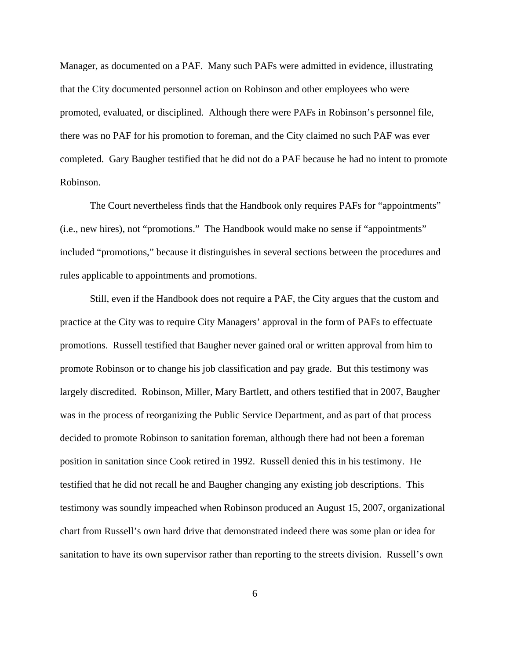Manager, as documented on a PAF. Many such PAFs were admitted in evidence, illustrating that the City documented personnel action on Robinson and other employees who were promoted, evaluated, or disciplined. Although there were PAFs in Robinson's personnel file, there was no PAF for his promotion to foreman, and the City claimed no such PAF was ever completed. Gary Baugher testified that he did not do a PAF because he had no intent to promote Robinson.

The Court nevertheless finds that the Handbook only requires PAFs for "appointments" (i.e., new hires), not "promotions." The Handbook would make no sense if "appointments" included "promotions," because it distinguishes in several sections between the procedures and rules applicable to appointments and promotions.

Still, even if the Handbook does not require a PAF, the City argues that the custom and practice at the City was to require City Managers' approval in the form of PAFs to effectuate promotions. Russell testified that Baugher never gained oral or written approval from him to promote Robinson or to change his job classification and pay grade. But this testimony was largely discredited. Robinson, Miller, Mary Bartlett, and others testified that in 2007, Baugher was in the process of reorganizing the Public Service Department, and as part of that process decided to promote Robinson to sanitation foreman, although there had not been a foreman position in sanitation since Cook retired in 1992. Russell denied this in his testimony. He testified that he did not recall he and Baugher changing any existing job descriptions. This testimony was soundly impeached when Robinson produced an August 15, 2007, organizational chart from Russell's own hard drive that demonstrated indeed there was some plan or idea for sanitation to have its own supervisor rather than reporting to the streets division. Russell's own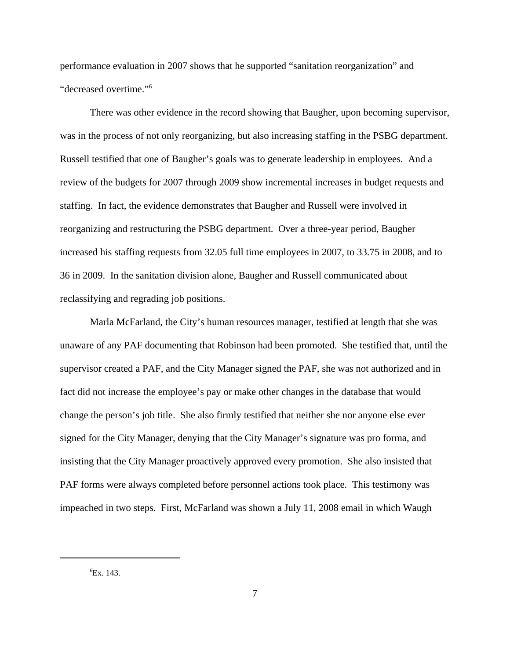performance evaluation in 2007 shows that he supported "sanitation reorganization" and "decreased overtime."<sup>6</sup>

There was other evidence in the record showing that Baugher, upon becoming supervisor, was in the process of not only reorganizing, but also increasing staffing in the PSBG department. Russell testified that one of Baugher's goals was to generate leadership in employees. And a review of the budgets for 2007 through 2009 show incremental increases in budget requests and staffing. In fact, the evidence demonstrates that Baugher and Russell were involved in reorganizing and restructuring the PSBG department. Over a three-year period, Baugher increased his staffing requests from 32.05 full time employees in 2007, to 33.75 in 2008, and to 36 in 2009. In the sanitation division alone, Baugher and Russell communicated about reclassifying and regrading job positions.

Marla McFarland, the City's human resources manager, testified at length that she was unaware of any PAF documenting that Robinson had been promoted. She testified that, until the supervisor created a PAF, and the City Manager signed the PAF, she was not authorized and in fact did not increase the employee's pay or make other changes in the database that would change the person's job title. She also firmly testified that neither she nor anyone else ever signed for the City Manager, denying that the City Manager's signature was pro forma, and insisting that the City Manager proactively approved every promotion. She also insisted that PAF forms were always completed before personnel actions took place. This testimony was impeached in two steps. First, McFarland was shown a July 11, 2008 email in which Waugh

 ${}^{6}Ex.143.$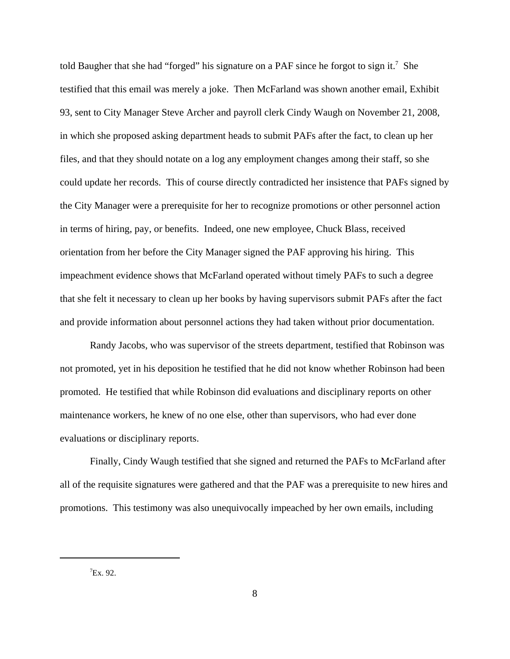told Baugher that she had "forged" his signature on a PAF since he forgot to sign it.<sup>7</sup> She testified that this email was merely a joke. Then McFarland was shown another email, Exhibit 93, sent to City Manager Steve Archer and payroll clerk Cindy Waugh on November 21, 2008, in which she proposed asking department heads to submit PAFs after the fact, to clean up her files, and that they should notate on a log any employment changes among their staff, so she could update her records. This of course directly contradicted her insistence that PAFs signed by the City Manager were a prerequisite for her to recognize promotions or other personnel action in terms of hiring, pay, or benefits. Indeed, one new employee, Chuck Blass, received orientation from her before the City Manager signed the PAF approving his hiring. This impeachment evidence shows that McFarland operated without timely PAFs to such a degree that she felt it necessary to clean up her books by having supervisors submit PAFs after the fact and provide information about personnel actions they had taken without prior documentation.

Randy Jacobs, who was supervisor of the streets department, testified that Robinson was not promoted, yet in his deposition he testified that he did not know whether Robinson had been promoted. He testified that while Robinson did evaluations and disciplinary reports on other maintenance workers, he knew of no one else, other than supervisors, who had ever done evaluations or disciplinary reports.

Finally, Cindy Waugh testified that she signed and returned the PAFs to McFarland after all of the requisite signatures were gathered and that the PAF was a prerequisite to new hires and promotions. This testimony was also unequivocally impeached by her own emails, including

 $7Ex.92.$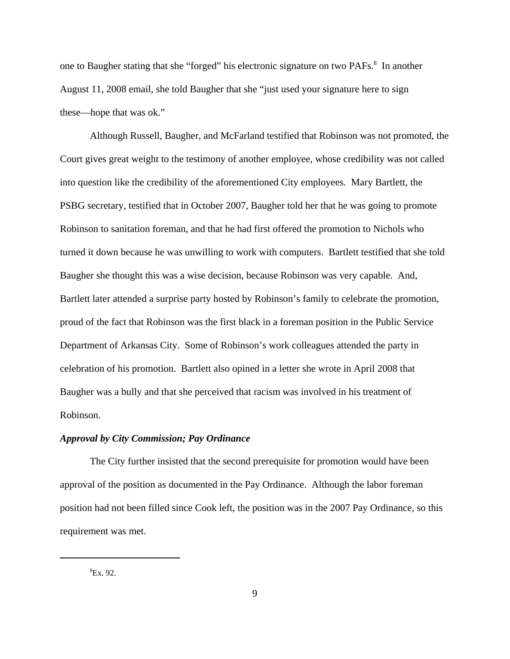one to Baugher stating that she "forged" his electronic signature on two PAFs.<sup>8</sup> In another August 11, 2008 email, she told Baugher that she "just used your signature here to sign these—hope that was ok."

Although Russell, Baugher, and McFarland testified that Robinson was not promoted, the Court gives great weight to the testimony of another employee, whose credibility was not called into question like the credibility of the aforementioned City employees. Mary Bartlett, the PSBG secretary, testified that in October 2007, Baugher told her that he was going to promote Robinson to sanitation foreman, and that he had first offered the promotion to Nichols who turned it down because he was unwilling to work with computers. Bartlett testified that she told Baugher she thought this was a wise decision, because Robinson was very capable. And, Bartlett later attended a surprise party hosted by Robinson's family to celebrate the promotion, proud of the fact that Robinson was the first black in a foreman position in the Public Service Department of Arkansas City. Some of Robinson's work colleagues attended the party in celebration of his promotion. Bartlett also opined in a letter she wrote in April 2008 that Baugher was a bully and that she perceived that racism was involved in his treatment of Robinson.

### *Approval by City Commission; Pay Ordinance*

The City further insisted that the second prerequisite for promotion would have been approval of the position as documented in the Pay Ordinance. Although the labor foreman position had not been filled since Cook left, the position was in the 2007 Pay Ordinance, so this requirement was met.

 ${}^{8}Ex.92.$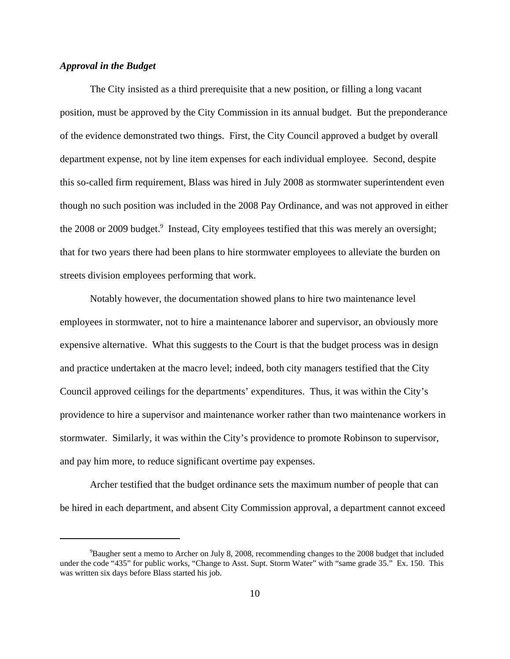## *Approval in the Budget*

The City insisted as a third prerequisite that a new position, or filling a long vacant position, must be approved by the City Commission in its annual budget. But the preponderance of the evidence demonstrated two things. First, the City Council approved a budget by overall department expense, not by line item expenses for each individual employee. Second, despite this so-called firm requirement, Blass was hired in July 2008 as stormwater superintendent even though no such position was included in the 2008 Pay Ordinance, and was not approved in either the 2008 or 2009 budget.<sup>9</sup> Instead, City employees testified that this was merely an oversight; that for two years there had been plans to hire stormwater employees to alleviate the burden on streets division employees performing that work.

Notably however, the documentation showed plans to hire two maintenance level employees in stormwater, not to hire a maintenance laborer and supervisor, an obviously more expensive alternative. What this suggests to the Court is that the budget process was in design and practice undertaken at the macro level; indeed, both city managers testified that the City Council approved ceilings for the departments' expenditures. Thus, it was within the City's providence to hire a supervisor and maintenance worker rather than two maintenance workers in stormwater. Similarly, it was within the City's providence to promote Robinson to supervisor, and pay him more, to reduce significant overtime pay expenses.

Archer testified that the budget ordinance sets the maximum number of people that can be hired in each department, and absent City Commission approval, a department cannot exceed

<sup>9</sup>Baugher sent a memo to Archer on July 8, 2008, recommending changes to the 2008 budget that included under the code "435" for public works, "Change to Asst. Supt. Storm Water" with "same grade 35." Ex. 150. This was written six days before Blass started his job.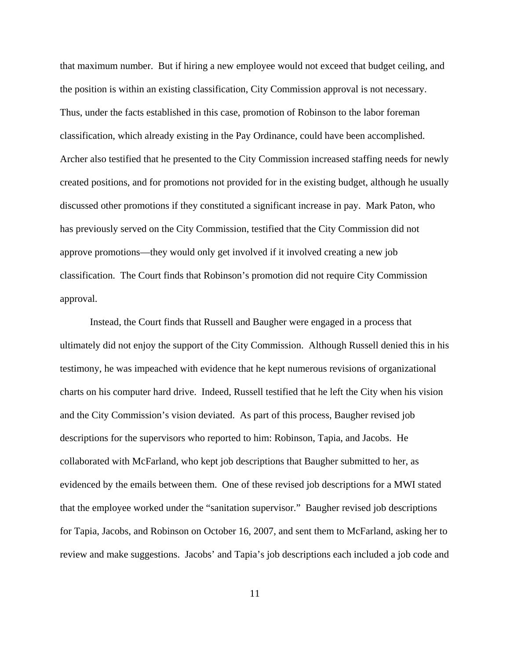that maximum number. But if hiring a new employee would not exceed that budget ceiling, and the position is within an existing classification, City Commission approval is not necessary. Thus, under the facts established in this case, promotion of Robinson to the labor foreman classification, which already existing in the Pay Ordinance, could have been accomplished. Archer also testified that he presented to the City Commission increased staffing needs for newly created positions, and for promotions not provided for in the existing budget, although he usually discussed other promotions if they constituted a significant increase in pay. Mark Paton, who has previously served on the City Commission, testified that the City Commission did not approve promotions—they would only get involved if it involved creating a new job classification. The Court finds that Robinson's promotion did not require City Commission approval.

Instead, the Court finds that Russell and Baugher were engaged in a process that ultimately did not enjoy the support of the City Commission. Although Russell denied this in his testimony, he was impeached with evidence that he kept numerous revisions of organizational charts on his computer hard drive. Indeed, Russell testified that he left the City when his vision and the City Commission's vision deviated. As part of this process, Baugher revised job descriptions for the supervisors who reported to him: Robinson, Tapia, and Jacobs. He collaborated with McFarland, who kept job descriptions that Baugher submitted to her, as evidenced by the emails between them. One of these revised job descriptions for a MWI stated that the employee worked under the "sanitation supervisor." Baugher revised job descriptions for Tapia, Jacobs, and Robinson on October 16, 2007, and sent them to McFarland, asking her to review and make suggestions. Jacobs' and Tapia's job descriptions each included a job code and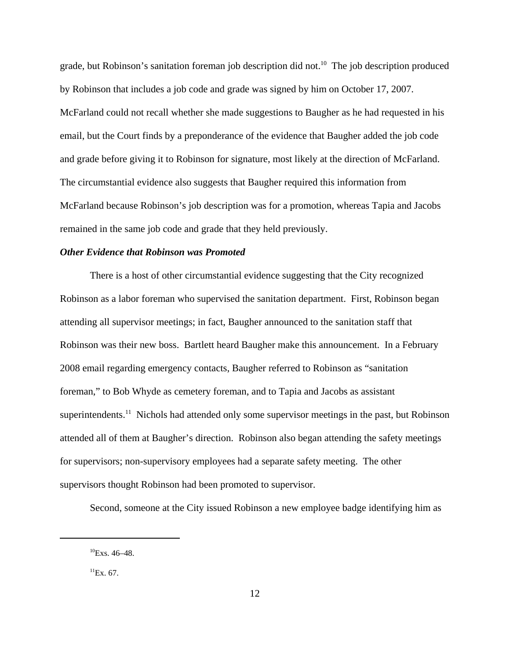grade, but Robinson's sanitation foreman job description did not.<sup>10</sup> The job description produced by Robinson that includes a job code and grade was signed by him on October 17, 2007. McFarland could not recall whether she made suggestions to Baugher as he had requested in his email, but the Court finds by a preponderance of the evidence that Baugher added the job code and grade before giving it to Robinson for signature, most likely at the direction of McFarland. The circumstantial evidence also suggests that Baugher required this information from McFarland because Robinson's job description was for a promotion, whereas Tapia and Jacobs remained in the same job code and grade that they held previously.

## *Other Evidence that Robinson was Promoted*

There is a host of other circumstantial evidence suggesting that the City recognized Robinson as a labor foreman who supervised the sanitation department. First, Robinson began attending all supervisor meetings; in fact, Baugher announced to the sanitation staff that Robinson was their new boss. Bartlett heard Baugher make this announcement. In a February 2008 email regarding emergency contacts, Baugher referred to Robinson as "sanitation foreman," to Bob Whyde as cemetery foreman, and to Tapia and Jacobs as assistant superintendents.<sup>11</sup> Nichols had attended only some supervisor meetings in the past, but Robinson attended all of them at Baugher's direction. Robinson also began attending the safety meetings for supervisors; non-supervisory employees had a separate safety meeting. The other supervisors thought Robinson had been promoted to supervisor.

Second, someone at the City issued Robinson a new employee badge identifying him as

 $^{10}$ Exs. 46–48.

 ${}^{11}Ex. 67.$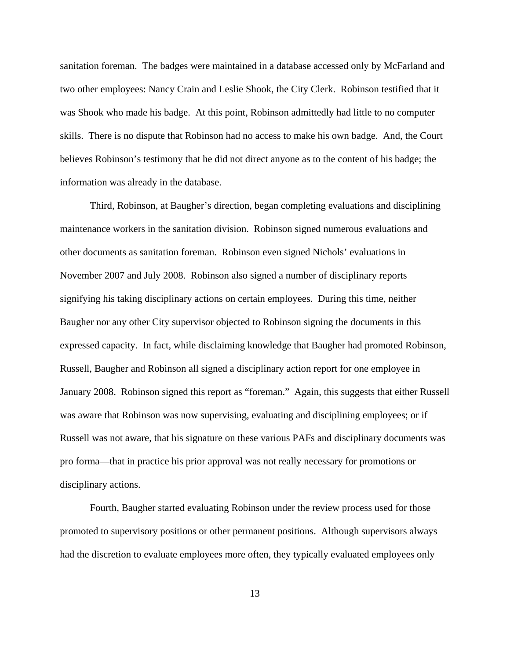sanitation foreman. The badges were maintained in a database accessed only by McFarland and two other employees: Nancy Crain and Leslie Shook, the City Clerk. Robinson testified that it was Shook who made his badge. At this point, Robinson admittedly had little to no computer skills. There is no dispute that Robinson had no access to make his own badge. And, the Court believes Robinson's testimony that he did not direct anyone as to the content of his badge; the information was already in the database.

Third, Robinson, at Baugher's direction, began completing evaluations and disciplining maintenance workers in the sanitation division. Robinson signed numerous evaluations and other documents as sanitation foreman. Robinson even signed Nichols' evaluations in November 2007 and July 2008. Robinson also signed a number of disciplinary reports signifying his taking disciplinary actions on certain employees. During this time, neither Baugher nor any other City supervisor objected to Robinson signing the documents in this expressed capacity. In fact, while disclaiming knowledge that Baugher had promoted Robinson, Russell, Baugher and Robinson all signed a disciplinary action report for one employee in January 2008. Robinson signed this report as "foreman." Again, this suggests that either Russell was aware that Robinson was now supervising, evaluating and disciplining employees; or if Russell was not aware, that his signature on these various PAFs and disciplinary documents was pro forma—that in practice his prior approval was not really necessary for promotions or disciplinary actions.

Fourth, Baugher started evaluating Robinson under the review process used for those promoted to supervisory positions or other permanent positions. Although supervisors always had the discretion to evaluate employees more often, they typically evaluated employees only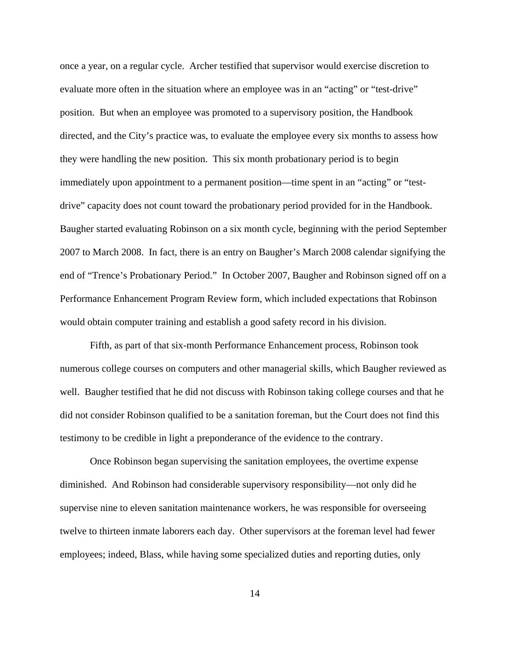once a year, on a regular cycle. Archer testified that supervisor would exercise discretion to evaluate more often in the situation where an employee was in an "acting" or "test-drive" position. But when an employee was promoted to a supervisory position, the Handbook directed, and the City's practice was, to evaluate the employee every six months to assess how they were handling the new position. This six month probationary period is to begin immediately upon appointment to a permanent position—time spent in an "acting" or "testdrive" capacity does not count toward the probationary period provided for in the Handbook. Baugher started evaluating Robinson on a six month cycle, beginning with the period September 2007 to March 2008. In fact, there is an entry on Baugher's March 2008 calendar signifying the end of "Trence's Probationary Period." In October 2007, Baugher and Robinson signed off on a Performance Enhancement Program Review form, which included expectations that Robinson would obtain computer training and establish a good safety record in his division.

Fifth, as part of that six-month Performance Enhancement process, Robinson took numerous college courses on computers and other managerial skills, which Baugher reviewed as well. Baugher testified that he did not discuss with Robinson taking college courses and that he did not consider Robinson qualified to be a sanitation foreman, but the Court does not find this testimony to be credible in light a preponderance of the evidence to the contrary.

Once Robinson began supervising the sanitation employees, the overtime expense diminished. And Robinson had considerable supervisory responsibility—not only did he supervise nine to eleven sanitation maintenance workers, he was responsible for overseeing twelve to thirteen inmate laborers each day. Other supervisors at the foreman level had fewer employees; indeed, Blass, while having some specialized duties and reporting duties, only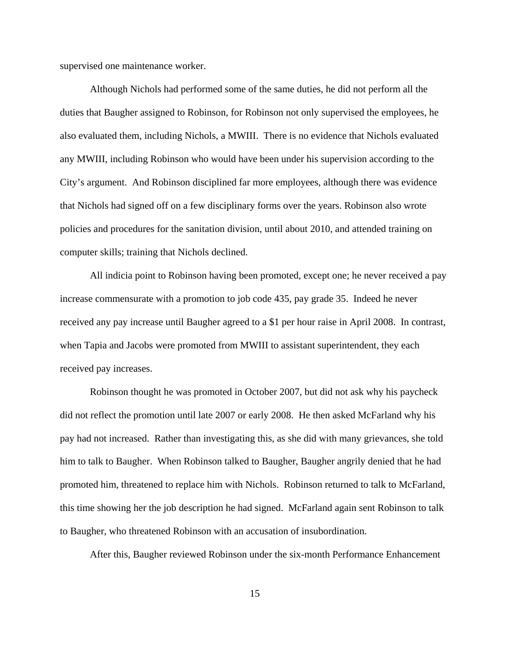supervised one maintenance worker.

Although Nichols had performed some of the same duties, he did not perform all the duties that Baugher assigned to Robinson, for Robinson not only supervised the employees, he also evaluated them, including Nichols, a MWIII. There is no evidence that Nichols evaluated any MWIII, including Robinson who would have been under his supervision according to the City's argument. And Robinson disciplined far more employees, although there was evidence that Nichols had signed off on a few disciplinary forms over the years. Robinson also wrote policies and procedures for the sanitation division, until about 2010, and attended training on computer skills; training that Nichols declined.

All indicia point to Robinson having been promoted, except one; he never received a pay increase commensurate with a promotion to job code 435, pay grade 35. Indeed he never received any pay increase until Baugher agreed to a \$1 per hour raise in April 2008. In contrast, when Tapia and Jacobs were promoted from MWIII to assistant superintendent, they each received pay increases.

Robinson thought he was promoted in October 2007, but did not ask why his paycheck did not reflect the promotion until late 2007 or early 2008. He then asked McFarland why his pay had not increased. Rather than investigating this, as she did with many grievances, she told him to talk to Baugher. When Robinson talked to Baugher, Baugher angrily denied that he had promoted him, threatened to replace him with Nichols. Robinson returned to talk to McFarland, this time showing her the job description he had signed. McFarland again sent Robinson to talk to Baugher, who threatened Robinson with an accusation of insubordination.

After this, Baugher reviewed Robinson under the six-month Performance Enhancement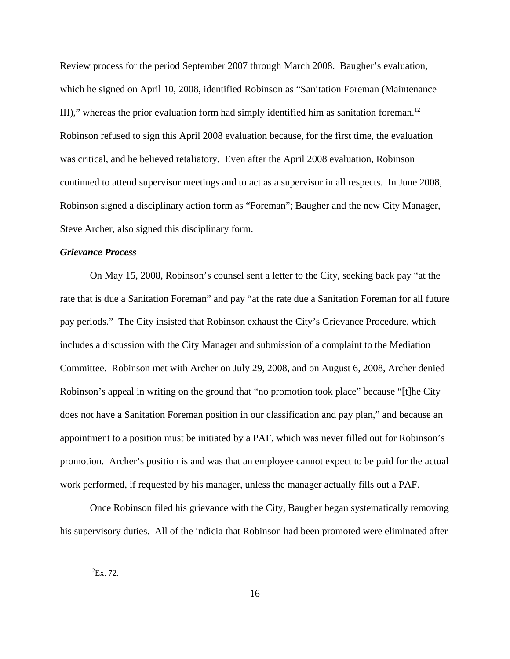Review process for the period September 2007 through March 2008. Baugher's evaluation, which he signed on April 10, 2008, identified Robinson as "Sanitation Foreman (Maintenance III)," whereas the prior evaluation form had simply identified him as sanitation foreman.<sup>12</sup> Robinson refused to sign this April 2008 evaluation because, for the first time, the evaluation was critical, and he believed retaliatory. Even after the April 2008 evaluation, Robinson continued to attend supervisor meetings and to act as a supervisor in all respects. In June 2008, Robinson signed a disciplinary action form as "Foreman"; Baugher and the new City Manager, Steve Archer, also signed this disciplinary form.

## *Grievance Process*

On May 15, 2008, Robinson's counsel sent a letter to the City, seeking back pay "at the rate that is due a Sanitation Foreman" and pay "at the rate due a Sanitation Foreman for all future pay periods." The City insisted that Robinson exhaust the City's Grievance Procedure, which includes a discussion with the City Manager and submission of a complaint to the Mediation Committee. Robinson met with Archer on July 29, 2008, and on August 6, 2008, Archer denied Robinson's appeal in writing on the ground that "no promotion took place" because "[t]he City does not have a Sanitation Foreman position in our classification and pay plan," and because an appointment to a position must be initiated by a PAF, which was never filled out for Robinson's promotion. Archer's position is and was that an employee cannot expect to be paid for the actual work performed, if requested by his manager, unless the manager actually fills out a PAF.

Once Robinson filed his grievance with the City, Baugher began systematically removing his supervisory duties. All of the indicia that Robinson had been promoted were eliminated after

 $^{12}Ex. 72.$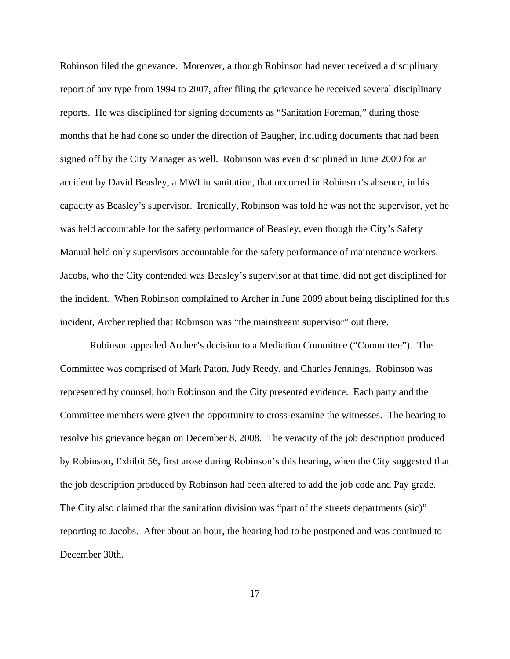Robinson filed the grievance. Moreover, although Robinson had never received a disciplinary report of any type from 1994 to 2007, after filing the grievance he received several disciplinary reports. He was disciplined for signing documents as "Sanitation Foreman," during those months that he had done so under the direction of Baugher, including documents that had been signed off by the City Manager as well. Robinson was even disciplined in June 2009 for an accident by David Beasley, a MWI in sanitation, that occurred in Robinson's absence, in his capacity as Beasley's supervisor. Ironically, Robinson was told he was not the supervisor, yet he was held accountable for the safety performance of Beasley, even though the City's Safety Manual held only supervisors accountable for the safety performance of maintenance workers. Jacobs, who the City contended was Beasley's supervisor at that time, did not get disciplined for the incident. When Robinson complained to Archer in June 2009 about being disciplined for this incident, Archer replied that Robinson was "the mainstream supervisor" out there.

Robinson appealed Archer's decision to a Mediation Committee ("Committee"). The Committee was comprised of Mark Paton, Judy Reedy, and Charles Jennings. Robinson was represented by counsel; both Robinson and the City presented evidence. Each party and the Committee members were given the opportunity to cross-examine the witnesses. The hearing to resolve his grievance began on December 8, 2008. The veracity of the job description produced by Robinson, Exhibit 56, first arose during Robinson's this hearing, when the City suggested that the job description produced by Robinson had been altered to add the job code and Pay grade. The City also claimed that the sanitation division was "part of the streets departments (sic)" reporting to Jacobs. After about an hour, the hearing had to be postponed and was continued to December 30th.

17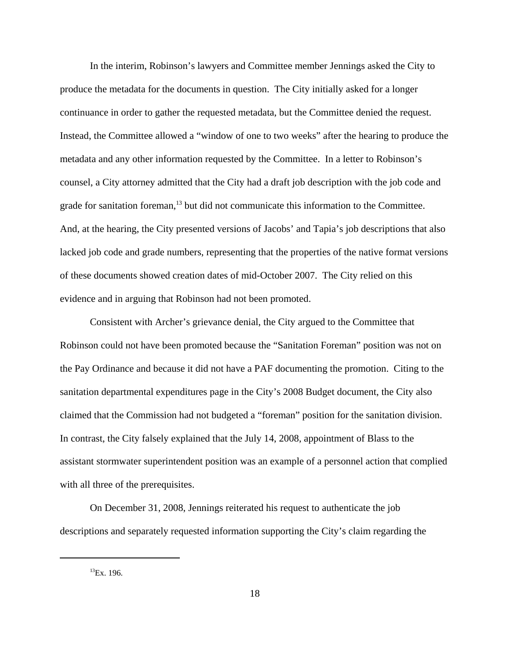In the interim, Robinson's lawyers and Committee member Jennings asked the City to produce the metadata for the documents in question. The City initially asked for a longer continuance in order to gather the requested metadata, but the Committee denied the request. Instead, the Committee allowed a "window of one to two weeks" after the hearing to produce the metadata and any other information requested by the Committee. In a letter to Robinson's counsel, a City attorney admitted that the City had a draft job description with the job code and grade for sanitation foreman,<sup>13</sup> but did not communicate this information to the Committee. And, at the hearing, the City presented versions of Jacobs' and Tapia's job descriptions that also lacked job code and grade numbers, representing that the properties of the native format versions of these documents showed creation dates of mid-October 2007. The City relied on this evidence and in arguing that Robinson had not been promoted.

Consistent with Archer's grievance denial, the City argued to the Committee that Robinson could not have been promoted because the "Sanitation Foreman" position was not on the Pay Ordinance and because it did not have a PAF documenting the promotion. Citing to the sanitation departmental expenditures page in the City's 2008 Budget document, the City also claimed that the Commission had not budgeted a "foreman" position for the sanitation division. In contrast, the City falsely explained that the July 14, 2008, appointment of Blass to the assistant stormwater superintendent position was an example of a personnel action that complied with all three of the prerequisites.

On December 31, 2008, Jennings reiterated his request to authenticate the job descriptions and separately requested information supporting the City's claim regarding the

 $^{13}$ Ex. 196.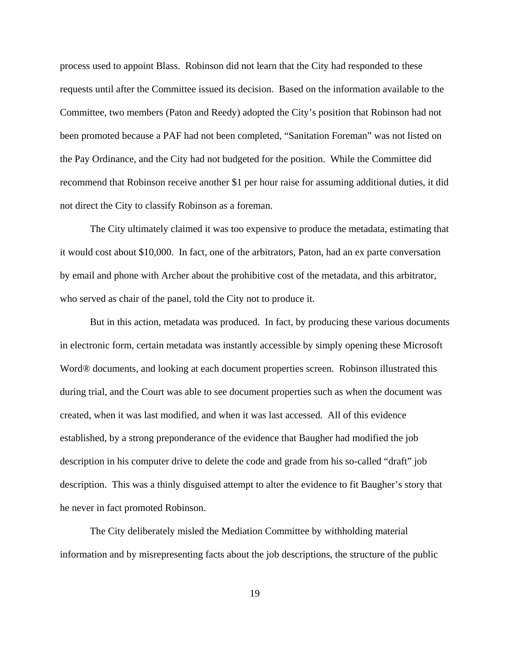process used to appoint Blass. Robinson did not learn that the City had responded to these requests until after the Committee issued its decision. Based on the information available to the Committee, two members (Paton and Reedy) adopted the City's position that Robinson had not been promoted because a PAF had not been completed, "Sanitation Foreman" was not listed on the Pay Ordinance, and the City had not budgeted for the position. While the Committee did recommend that Robinson receive another \$1 per hour raise for assuming additional duties, it did not direct the City to classify Robinson as a foreman.

The City ultimately claimed it was too expensive to produce the metadata, estimating that it would cost about \$10,000. In fact, one of the arbitrators, Paton, had an ex parte conversation by email and phone with Archer about the prohibitive cost of the metadata, and this arbitrator, who served as chair of the panel, told the City not to produce it.

But in this action, metadata was produced. In fact, by producing these various documents in electronic form, certain metadata was instantly accessible by simply opening these Microsoft Word*®* documents, and looking at each document properties screen. Robinson illustrated this during trial, and the Court was able to see document properties such as when the document was created, when it was last modified, and when it was last accessed. All of this evidence established, by a strong preponderance of the evidence that Baugher had modified the job description in his computer drive to delete the code and grade from his so-called "draft" job description. This was a thinly disguised attempt to alter the evidence to fit Baugher's story that he never in fact promoted Robinson.

The City deliberately misled the Mediation Committee by withholding material information and by misrepresenting facts about the job descriptions, the structure of the public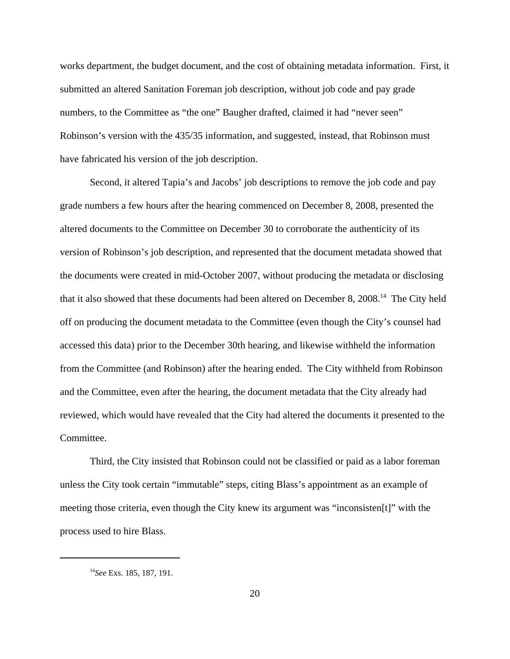works department, the budget document, and the cost of obtaining metadata information. First, it submitted an altered Sanitation Foreman job description, without job code and pay grade numbers, to the Committee as "the one" Baugher drafted, claimed it had "never seen" Robinson's version with the 435/35 information, and suggested, instead, that Robinson must have fabricated his version of the job description.

Second, it altered Tapia's and Jacobs' job descriptions to remove the job code and pay grade numbers a few hours after the hearing commenced on December 8, 2008, presented the altered documents to the Committee on December 30 to corroborate the authenticity of its version of Robinson's job description, and represented that the document metadata showed that the documents were created in mid-October 2007, without producing the metadata or disclosing that it also showed that these documents had been altered on December 8, 2008.<sup>14</sup> The City held off on producing the document metadata to the Committee (even though the City's counsel had accessed this data) prior to the December 30th hearing, and likewise withheld the information from the Committee (and Robinson) after the hearing ended. The City withheld from Robinson and the Committee, even after the hearing, the document metadata that the City already had reviewed, which would have revealed that the City had altered the documents it presented to the Committee.

Third, the City insisted that Robinson could not be classified or paid as a labor foreman unless the City took certain "immutable" steps, citing Blass's appointment as an example of meeting those criteria, even though the City knew its argument was "inconsisten[t]" with the process used to hire Blass.

<sup>14</sup>*See* Exs. 185, 187, 191.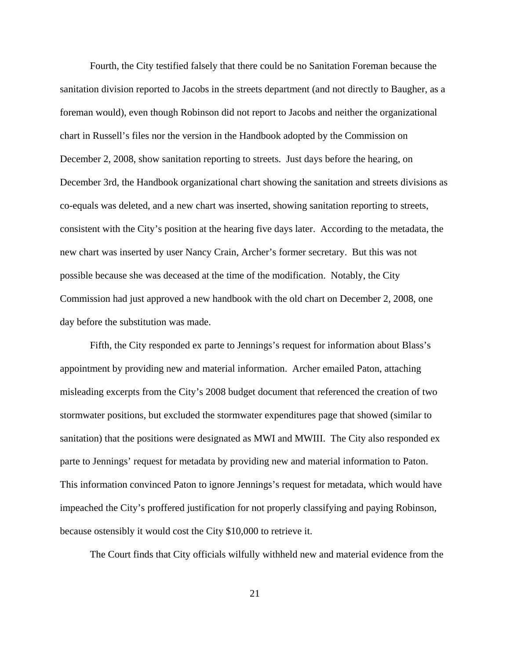Fourth, the City testified falsely that there could be no Sanitation Foreman because the sanitation division reported to Jacobs in the streets department (and not directly to Baugher, as a foreman would), even though Robinson did not report to Jacobs and neither the organizational chart in Russell's files nor the version in the Handbook adopted by the Commission on December 2, 2008, show sanitation reporting to streets. Just days before the hearing, on December 3rd, the Handbook organizational chart showing the sanitation and streets divisions as co-equals was deleted, and a new chart was inserted, showing sanitation reporting to streets, consistent with the City's position at the hearing five days later. According to the metadata, the new chart was inserted by user Nancy Crain, Archer's former secretary. But this was not possible because she was deceased at the time of the modification. Notably, the City Commission had just approved a new handbook with the old chart on December 2, 2008, one day before the substitution was made.

Fifth, the City responded ex parte to Jennings's request for information about Blass's appointment by providing new and material information. Archer emailed Paton, attaching misleading excerpts from the City's 2008 budget document that referenced the creation of two stormwater positions, but excluded the stormwater expenditures page that showed (similar to sanitation) that the positions were designated as MWI and MWIII. The City also responded ex parte to Jennings' request for metadata by providing new and material information to Paton. This information convinced Paton to ignore Jennings's request for metadata, which would have impeached the City's proffered justification for not properly classifying and paying Robinson, because ostensibly it would cost the City \$10,000 to retrieve it.

The Court finds that City officials wilfully withheld new and material evidence from the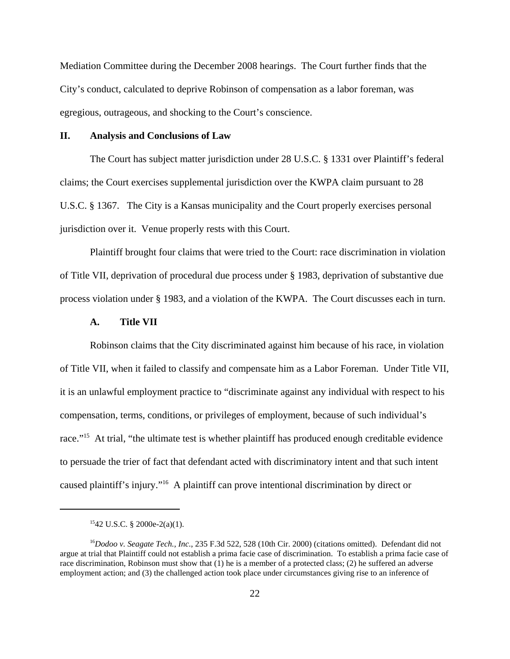Mediation Committee during the December 2008 hearings. The Court further finds that the City's conduct, calculated to deprive Robinson of compensation as a labor foreman, was egregious, outrageous, and shocking to the Court's conscience.

#### **II. Analysis and Conclusions of Law**

The Court has subject matter jurisdiction under 28 U.S.C. § 1331 over Plaintiff's federal claims; the Court exercises supplemental jurisdiction over the KWPA claim pursuant to 28 U.S.C. § 1367. The City is a Kansas municipality and the Court properly exercises personal jurisdiction over it. Venue properly rests with this Court.

Plaintiff brought four claims that were tried to the Court: race discrimination in violation of Title VII, deprivation of procedural due process under § 1983, deprivation of substantive due process violation under § 1983, and a violation of the KWPA. The Court discusses each in turn.

## **A. Title VII**

Robinson claims that the City discriminated against him because of his race, in violation of Title VII, when it failed to classify and compensate him as a Labor Foreman. Under Title VII, it is an unlawful employment practice to "discriminate against any individual with respect to his compensation, terms, conditions, or privileges of employment, because of such individual's race."<sup>15</sup> At trial, "the ultimate test is whether plaintiff has produced enough creditable evidence to persuade the trier of fact that defendant acted with discriminatory intent and that such intent caused plaintiff's injury."<sup>16</sup> A plaintiff can prove intentional discrimination by direct or

 $1542$  U.S.C. § 2000e-2(a)(1).

<sup>&</sup>lt;sup>16</sup>Dodoo v. Seagate Tech., Inc., 235 F.3d 522, 528 (10th Cir. 2000) (citations omitted). Defendant did not argue at trial that Plaintiff could not establish a prima facie case of discrimination. To establish a prima facie case of race discrimination, Robinson must show that (1) he is a member of a protected class; (2) he suffered an adverse employment action; and (3) the challenged action took place under circumstances giving rise to an inference of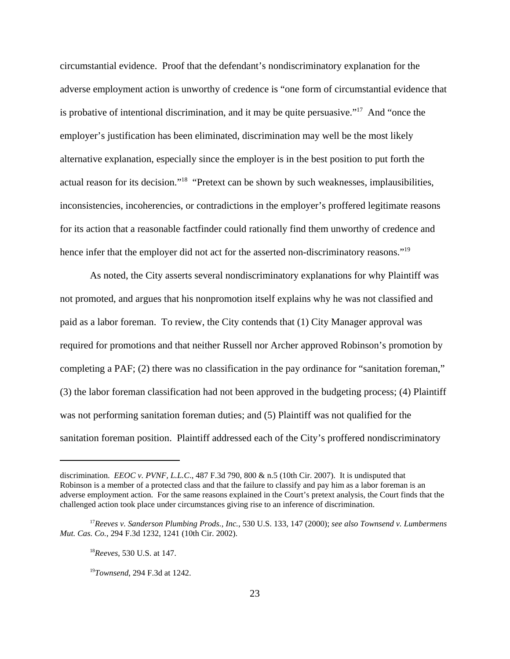circumstantial evidence. Proof that the defendant's nondiscriminatory explanation for the adverse employment action is unworthy of credence is "one form of circumstantial evidence that is probative of intentional discrimination, and it may be quite persuasive."<sup>17</sup> And "once the employer's justification has been eliminated, discrimination may well be the most likely alternative explanation, especially since the employer is in the best position to put forth the actual reason for its decision."<sup>18</sup> "Pretext can be shown by such weaknesses, implausibilities, inconsistencies, incoherencies, or contradictions in the employer's proffered legitimate reasons for its action that a reasonable factfinder could rationally find them unworthy of credence and hence infer that the employer did not act for the asserted non-discriminatory reasons."<sup>19</sup>

As noted, the City asserts several nondiscriminatory explanations for why Plaintiff was not promoted, and argues that his nonpromotion itself explains why he was not classified and paid as a labor foreman. To review, the City contends that (1) City Manager approval was required for promotions and that neither Russell nor Archer approved Robinson's promotion by completing a PAF; (2) there was no classification in the pay ordinance for "sanitation foreman," (3) the labor foreman classification had not been approved in the budgeting process; (4) Plaintiff was not performing sanitation foreman duties; and (5) Plaintiff was not qualified for the sanitation foreman position. Plaintiff addressed each of the City's proffered nondiscriminatory

discrimination. *EEOC v. PVNF, L.L.C*., 487 F.3d 790, 800 & n.5 (10th Cir. 2007). It is undisputed that Robinson is a member of a protected class and that the failure to classify and pay him as a labor foreman is an adverse employment action. For the same reasons explained in the Court's pretext analysis, the Court finds that the challenged action took place under circumstances giving rise to an inference of discrimination.

<sup>17</sup>*Reeves v. Sanderson Plumbing Prods., Inc.*, 530 U.S. 133, 147 (2000); *see also Townsend v. Lumbermens Mut. Cas. Co.*, 294 F.3d 1232, 1241 (10th Cir. 2002).

<sup>18</sup>*Reeves*, 530 U.S. at 147.

<sup>19</sup>*Townsend*, 294 F.3d at 1242.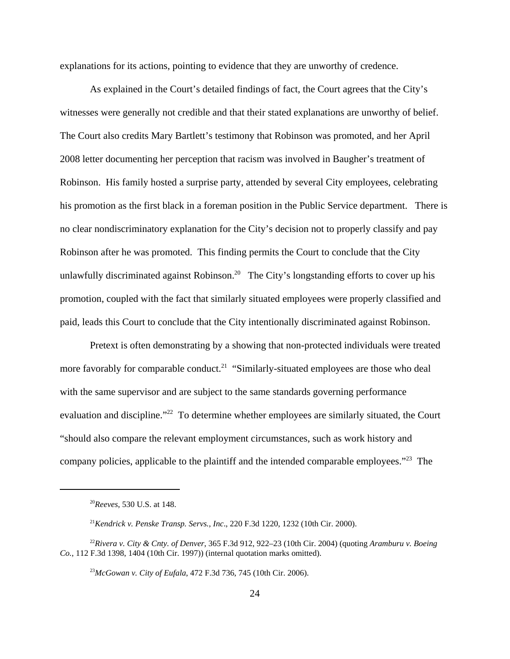explanations for its actions, pointing to evidence that they are unworthy of credence.

As explained in the Court's detailed findings of fact, the Court agrees that the City's witnesses were generally not credible and that their stated explanations are unworthy of belief. The Court also credits Mary Bartlett's testimony that Robinson was promoted, and her April 2008 letter documenting her perception that racism was involved in Baugher's treatment of Robinson. His family hosted a surprise party, attended by several City employees, celebrating his promotion as the first black in a foreman position in the Public Service department. There is no clear nondiscriminatory explanation for the City's decision not to properly classify and pay Robinson after he was promoted. This finding permits the Court to conclude that the City unlawfully discriminated against Robinson.<sup>20</sup> The City's longstanding efforts to cover up his promotion, coupled with the fact that similarly situated employees were properly classified and paid, leads this Court to conclude that the City intentionally discriminated against Robinson.

Pretext is often demonstrating by a showing that non-protected individuals were treated more favorably for comparable conduct.<sup>21</sup> "Similarly-situated employees are those who deal with the same supervisor and are subject to the same standards governing performance evaluation and discipline."<sup>22</sup> To determine whether employees are similarly situated, the Court "should also compare the relevant employment circumstances, such as work history and company policies, applicable to the plaintiff and the intended comparable employees."<sup>23</sup> The

<sup>20</sup>*Reeves*, 530 U.S. at 148.

<sup>21</sup>*Kendrick v. Penske Transp. Servs., Inc*., 220 F.3d 1220, 1232 (10th Cir. 2000).

<sup>22</sup>*Rivera v. City & Cnty. of Denver*, 365 F.3d 912, 922–23 (10th Cir. 2004) (quoting *Aramburu v. Boeing Co.*, 112 F.3d 1398, 1404 (10th Cir. 1997)) (internal quotation marks omitted).

<sup>23</sup>*McGowan v. City of Eufala*, 472 F.3d 736, 745 (10th Cir. 2006).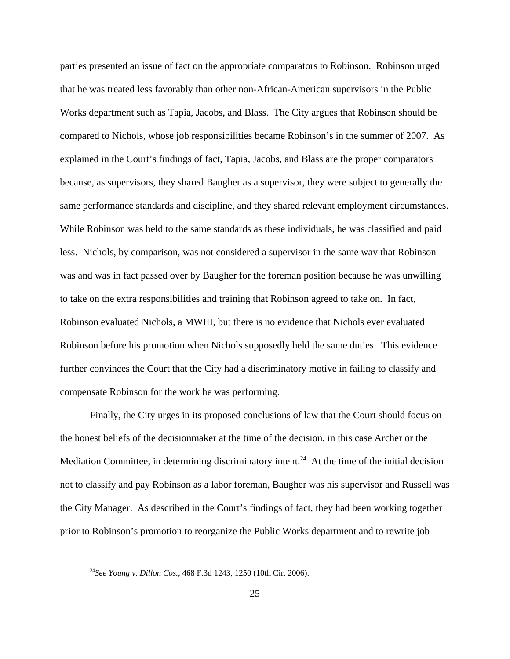parties presented an issue of fact on the appropriate comparators to Robinson. Robinson urged that he was treated less favorably than other non-African-American supervisors in the Public Works department such as Tapia, Jacobs, and Blass. The City argues that Robinson should be compared to Nichols, whose job responsibilities became Robinson's in the summer of 2007. As explained in the Court's findings of fact, Tapia, Jacobs, and Blass are the proper comparators because, as supervisors, they shared Baugher as a supervisor, they were subject to generally the same performance standards and discipline, and they shared relevant employment circumstances. While Robinson was held to the same standards as these individuals, he was classified and paid less. Nichols, by comparison, was not considered a supervisor in the same way that Robinson was and was in fact passed over by Baugher for the foreman position because he was unwilling to take on the extra responsibilities and training that Robinson agreed to take on. In fact, Robinson evaluated Nichols, a MWIII, but there is no evidence that Nichols ever evaluated Robinson before his promotion when Nichols supposedly held the same duties. This evidence further convinces the Court that the City had a discriminatory motive in failing to classify and compensate Robinson for the work he was performing.

Finally, the City urges in its proposed conclusions of law that the Court should focus on the honest beliefs of the decisionmaker at the time of the decision, in this case Archer or the Mediation Committee, in determining discriminatory intent.<sup>24</sup> At the time of the initial decision not to classify and pay Robinson as a labor foreman, Baugher was his supervisor and Russell was the City Manager. As described in the Court's findings of fact, they had been working together prior to Robinson's promotion to reorganize the Public Works department and to rewrite job

<sup>24</sup>*See Young v. Dillon Cos.*, 468 F.3d 1243, 1250 (10th Cir. 2006).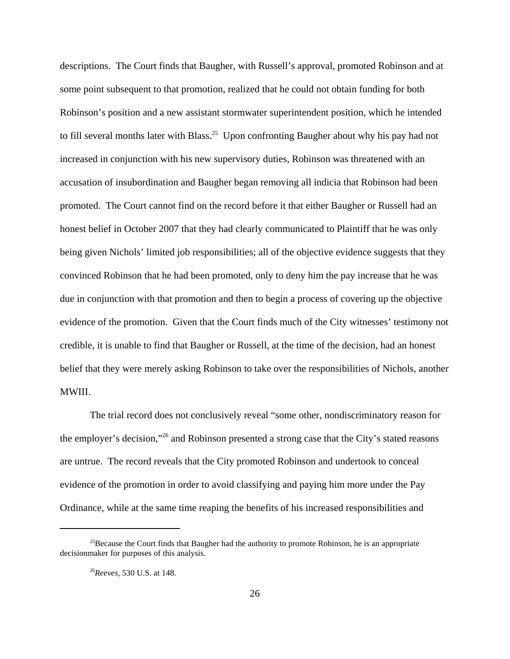descriptions. The Court finds that Baugher, with Russell's approval, promoted Robinson and at some point subsequent to that promotion, realized that he could not obtain funding for both Robinson's position and a new assistant stormwater superintendent position, which he intended to fill several months later with Blass.<sup>25</sup> Upon confronting Baugher about why his pay had not increased in conjunction with his new supervisory duties, Robinson was threatened with an accusation of insubordination and Baugher began removing all indicia that Robinson had been promoted. The Court cannot find on the record before it that either Baugher or Russell had an honest belief in October 2007 that they had clearly communicated to Plaintiff that he was only being given Nichols' limited job responsibilities; all of the objective evidence suggests that they convinced Robinson that he had been promoted, only to deny him the pay increase that he was due in conjunction with that promotion and then to begin a process of covering up the objective evidence of the promotion. Given that the Court finds much of the City witnesses' testimony not credible, it is unable to find that Baugher or Russell, at the time of the decision, had an honest belief that they were merely asking Robinson to take over the responsibilities of Nichols, another MWIII.

The trial record does not conclusively reveal "some other, nondiscriminatory reason for the employer's decision,"<sup>26</sup> and Robinson presented a strong case that the City's stated reasons are untrue. The record reveals that the City promoted Robinson and undertook to conceal evidence of the promotion in order to avoid classifying and paying him more under the Pay Ordinance, while at the same time reaping the benefits of his increased responsibilities and

<sup>&</sup>lt;sup>25</sup>Because the Court finds that Baugher had the authority to promote Robinson, he is an appropriate decisionmaker for purposes of this analysis.

<sup>26</sup>*Reeves*, 530 U.S. at 148.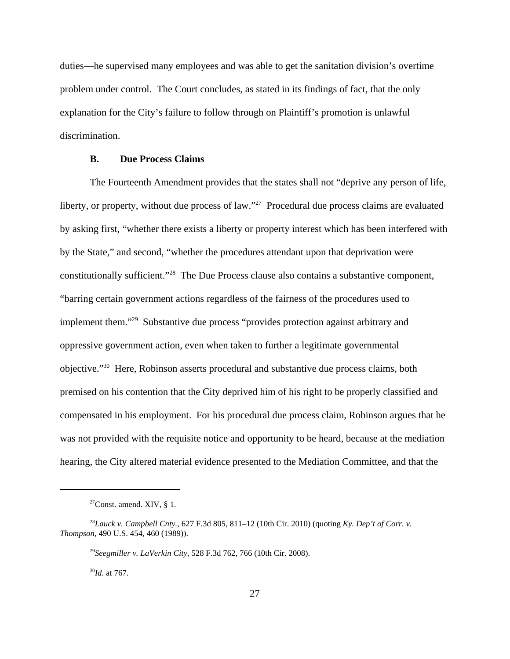duties—he supervised many employees and was able to get the sanitation division's overtime problem under control. The Court concludes, as stated in its findings of fact, that the only explanation for the City's failure to follow through on Plaintiff's promotion is unlawful discrimination.

#### **B. Due Process Claims**

The Fourteenth Amendment provides that the states shall not "deprive any person of life, liberty, or property, without due process of law."<sup>27</sup> Procedural due process claims are evaluated by asking first, "whether there exists a liberty or property interest which has been interfered with by the State," and second, "whether the procedures attendant upon that deprivation were constitutionally sufficient."<sup>28</sup> The Due Process clause also contains a substantive component, "barring certain government actions regardless of the fairness of the procedures used to implement them."<sup>29</sup> Substantive due process "provides protection against arbitrary and oppressive government action, even when taken to further a legitimate governmental objective."<sup>30</sup> Here, Robinson asserts procedural and substantive due process claims, both premised on his contention that the City deprived him of his right to be properly classified and compensated in his employment. For his procedural due process claim, Robinson argues that he was not provided with the requisite notice and opportunity to be heard, because at the mediation hearing, the City altered material evidence presented to the Mediation Committee, and that the

<sup>30</sup>*Id.* at 767.

<sup>&</sup>lt;sup>27</sup>Const. amend. XIV,  $\S$  1.

<sup>28</sup>*Lauck v. Campbell Cnty.*, 627 F.3d 805, 811–12 (10th Cir. 2010) (quoting *Ky. Dep't of Corr. v. Thompson*, 490 U.S. 454, 460 (1989)).

<sup>29</sup>*Seegmiller v. LaVerkin City*, 528 F.3d 762, 766 (10th Cir. 2008).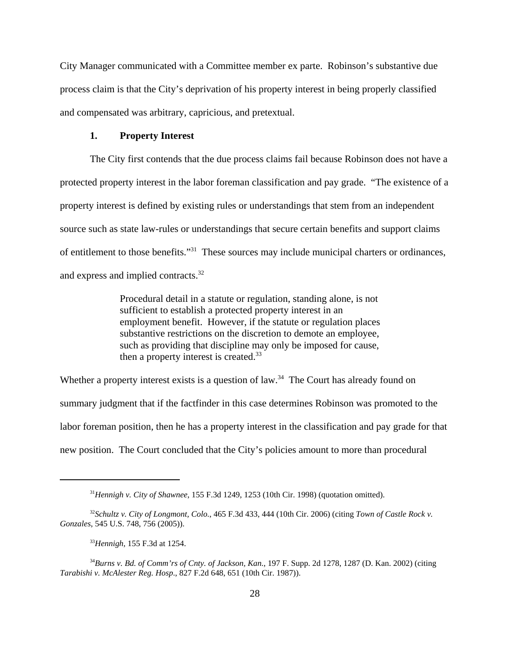City Manager communicated with a Committee member ex parte. Robinson's substantive due process claim is that the City's deprivation of his property interest in being properly classified and compensated was arbitrary, capricious, and pretextual.

#### **1. Property Interest**

The City first contends that the due process claims fail because Robinson does not have a protected property interest in the labor foreman classification and pay grade. "The existence of a property interest is defined by existing rules or understandings that stem from an independent source such as state law-rules or understandings that secure certain benefits and support claims of entitlement to those benefits."<sup>31</sup> These sources may include municipal charters or ordinances, and express and implied contracts.<sup>32</sup>

> Procedural detail in a statute or regulation, standing alone, is not sufficient to establish a protected property interest in an employment benefit. However, if the statute or regulation places substantive restrictions on the discretion to demote an employee, such as providing that discipline may only be imposed for cause, then a property interest is created.<sup>33</sup>

Whether a property interest exists is a question of  $law<sup>34</sup>$ . The Court has already found on summary judgment that if the factfinder in this case determines Robinson was promoted to the labor foreman position, then he has a property interest in the classification and pay grade for that new position. The Court concluded that the City's policies amount to more than procedural

<sup>31</sup>*Hennigh v. City of Shawnee*, 155 F.3d 1249, 1253 (10th Cir. 1998) (quotation omitted).

<sup>32</sup>*Schultz v. City of Longmont, Colo.*, 465 F.3d 433, 444 (10th Cir. 2006) (citing *Town of Castle Rock v. Gonzales*, 545 U.S. 748, 756 (2005)).

<sup>33</sup>*Hennigh*, 155 F.3d at 1254.

<sup>34</sup>*Burns v. Bd. of Comm'rs of Cnty. of Jackson, Kan.*, 197 F. Supp. 2d 1278, 1287 (D. Kan. 2002) (citing *Tarabishi v. McAlester Reg. Hosp*., 827 F.2d 648, 651 (10th Cir. 1987)).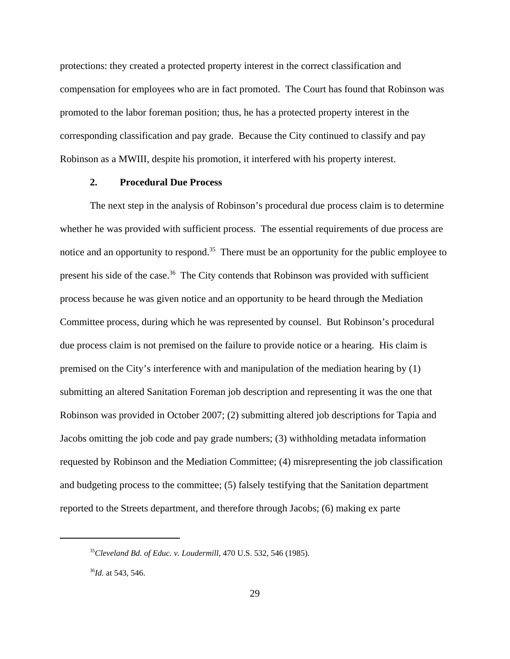protections: they created a protected property interest in the correct classification and compensation for employees who are in fact promoted. The Court has found that Robinson was promoted to the labor foreman position; thus, he has a protected property interest in the corresponding classification and pay grade. Because the City continued to classify and pay Robinson as a MWIII, despite his promotion, it interfered with his property interest.

#### **2. Procedural Due Process**

The next step in the analysis of Robinson's procedural due process claim is to determine whether he was provided with sufficient process. The essential requirements of due process are notice and an opportunity to respond.<sup>35</sup> There must be an opportunity for the public employee to present his side of the case.<sup>36</sup> The City contends that Robinson was provided with sufficient process because he was given notice and an opportunity to be heard through the Mediation Committee process, during which he was represented by counsel. But Robinson's procedural due process claim is not premised on the failure to provide notice or a hearing. His claim is premised on the City's interference with and manipulation of the mediation hearing by (1) submitting an altered Sanitation Foreman job description and representing it was the one that Robinson was provided in October 2007; (2) submitting altered job descriptions for Tapia and Jacobs omitting the job code and pay grade numbers; (3) withholding metadata information requested by Robinson and the Mediation Committee; (4) misrepresenting the job classification and budgeting process to the committee; (5) falsely testifying that the Sanitation department reported to the Streets department, and therefore through Jacobs; (6) making ex parte

<sup>35</sup>*Cleveland Bd. of Educ. v. Loudermill*, 470 U.S. 532, 546 (1985).

<sup>36</sup>*Id.* at 543, 546.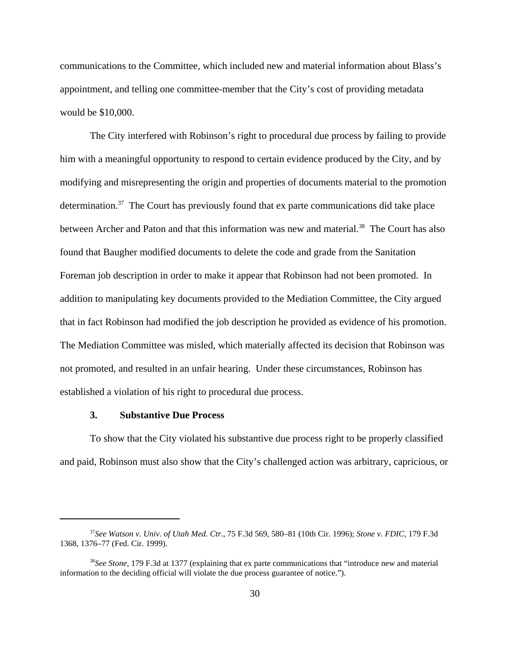communications to the Committee, which included new and material information about Blass's appointment, and telling one committee-member that the City's cost of providing metadata would be \$10,000.

The City interfered with Robinson's right to procedural due process by failing to provide him with a meaningful opportunity to respond to certain evidence produced by the City, and by modifying and misrepresenting the origin and properties of documents material to the promotion determination. $37$  The Court has previously found that ex parte communications did take place between Archer and Paton and that this information was new and material.<sup>38</sup> The Court has also found that Baugher modified documents to delete the code and grade from the Sanitation Foreman job description in order to make it appear that Robinson had not been promoted. In addition to manipulating key documents provided to the Mediation Committee, the City argued that in fact Robinson had modified the job description he provided as evidence of his promotion. The Mediation Committee was misled, which materially affected its decision that Robinson was not promoted, and resulted in an unfair hearing. Under these circumstances, Robinson has established a violation of his right to procedural due process.

#### **3. Substantive Due Process**

To show that the City violated his substantive due process right to be properly classified and paid, Robinson must also show that the City's challenged action was arbitrary, capricious, or

<sup>37</sup>*See Watson v. Univ. of Utah Med. Ctr.*, 75 F.3d 569, 580–81 (10th Cir. 1996); *Stone v. FDIC*, 179 F.3d 1368, 1376–77 (Fed. Cir. 1999).

<sup>38</sup>*See Stone*, 179 F.3d at 1377 (explaining that ex parte communications that "introduce new and material information to the deciding official will violate the due process guarantee of notice.").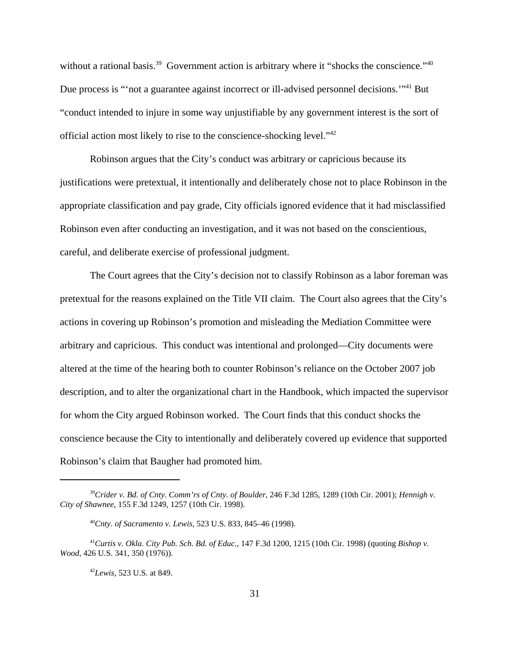without a rational basis.<sup>39</sup> Government action is arbitrary where it "shocks the conscience."<sup>40</sup> Due process is "not a guarantee against incorrect or ill-advised personnel decisions."<sup>41</sup> But "conduct intended to injure in some way unjustifiable by any government interest is the sort of official action most likely to rise to the conscience-shocking level."<sup>42</sup>

Robinson argues that the City's conduct was arbitrary or capricious because its justifications were pretextual, it intentionally and deliberately chose not to place Robinson in the appropriate classification and pay grade, City officials ignored evidence that it had misclassified Robinson even after conducting an investigation, and it was not based on the conscientious, careful, and deliberate exercise of professional judgment.

The Court agrees that the City's decision not to classify Robinson as a labor foreman was pretextual for the reasons explained on the Title VII claim. The Court also agrees that the City's actions in covering up Robinson's promotion and misleading the Mediation Committee were arbitrary and capricious. This conduct was intentional and prolonged—City documents were altered at the time of the hearing both to counter Robinson's reliance on the October 2007 job description, and to alter the organizational chart in the Handbook, which impacted the supervisor for whom the City argued Robinson worked. The Court finds that this conduct shocks the conscience because the City to intentionally and deliberately covered up evidence that supported Robinson's claim that Baugher had promoted him.

<sup>39</sup>*Crider v. Bd. of Cnty. Comm'rs of Cnty. of Boulder*, 246 F.3d 1285, 1289 (10th Cir. 2001); *Hennigh v. City of Shawnee*, 155 F.3d 1249, 1257 (10th Cir. 1998).

<sup>40</sup>*Cnty. of Sacramento v. Lewis*, 523 U.S. 833, 845–46 (1998).

<sup>41</sup>*Curtis v. Okla. City Pub. Sch. Bd. of Educ.*, 147 F.3d 1200, 1215 (10th Cir. 1998) (quoting *Bishop v. Wood*, 426 U.S. 341, 350 (1976)).

<sup>42</sup>*Lewis*, 523 U.S. at 849.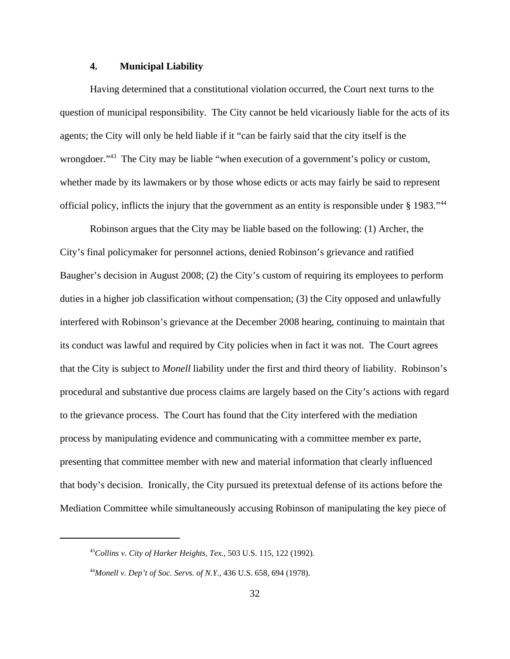## **4. Municipal Liability**

Having determined that a constitutional violation occurred, the Court next turns to the question of municipal responsibility. The City cannot be held vicariously liable for the acts of its agents; the City will only be held liable if it "can be fairly said that the city itself is the wrongdoer."<sup>43</sup> The City may be liable "when execution of a government's policy or custom, whether made by its lawmakers or by those whose edicts or acts may fairly be said to represent official policy, inflicts the injury that the government as an entity is responsible under § 1983."<sup>44</sup>

Robinson argues that the City may be liable based on the following: (1) Archer, the City's final policymaker for personnel actions, denied Robinson's grievance and ratified Baugher's decision in August 2008; (2) the City's custom of requiring its employees to perform duties in a higher job classification without compensation; (3) the City opposed and unlawfully interfered with Robinson's grievance at the December 2008 hearing, continuing to maintain that its conduct was lawful and required by City policies when in fact it was not. The Court agrees that the City is subject to *Monell* liability under the first and third theory of liability. Robinson's procedural and substantive due process claims are largely based on the City's actions with regard to the grievance process. The Court has found that the City interfered with the mediation process by manipulating evidence and communicating with a committee member ex parte, presenting that committee member with new and material information that clearly influenced that body's decision. Ironically, the City pursued its pretextual defense of its actions before the Mediation Committee while simultaneously accusing Robinson of manipulating the key piece of

<sup>43</sup>*Collins v. City of Harker Heights, Tex.*, 503 U.S. 115, 122 (1992).

<sup>44</sup>*Monell v. Dep't of Soc. Servs. of N.Y.*, 436 U.S. 658, 694 (1978).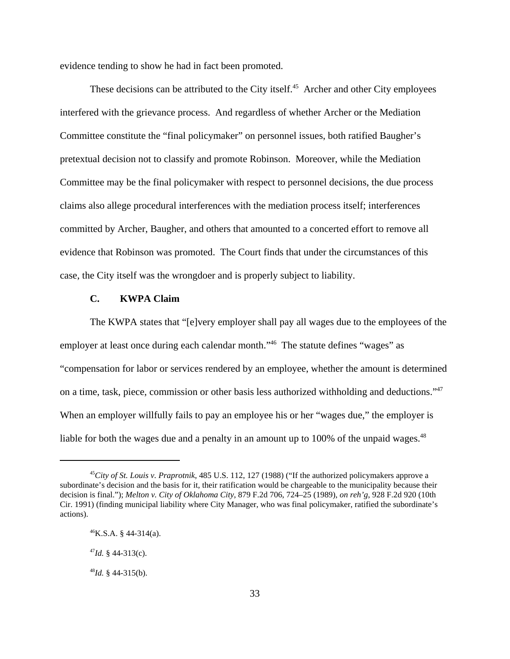evidence tending to show he had in fact been promoted.

These decisions can be attributed to the City itself.<sup>45</sup> Archer and other City employees interfered with the grievance process. And regardless of whether Archer or the Mediation Committee constitute the "final policymaker" on personnel issues, both ratified Baugher's pretextual decision not to classify and promote Robinson. Moreover, while the Mediation Committee may be the final policymaker with respect to personnel decisions, the due process claims also allege procedural interferences with the mediation process itself; interferences committed by Archer, Baugher, and others that amounted to a concerted effort to remove all evidence that Robinson was promoted. The Court finds that under the circumstances of this case, the City itself was the wrongdoer and is properly subject to liability.

### **C. KWPA Claim**

The KWPA states that "[e]very employer shall pay all wages due to the employees of the employer at least once during each calendar month."<sup>46</sup> The statute defines "wages" as "compensation for labor or services rendered by an employee, whether the amount is determined on a time, task, piece, commission or other basis less authorized withholding and deductions."<sup>47</sup> When an employer willfully fails to pay an employee his or her "wages due," the employer is liable for both the wages due and a penalty in an amount up to 100% of the unpaid wages.<sup>48</sup>

<sup>45</sup>*City of St. Louis v. Praprotnik*, 485 U.S. 112, 127 (1988) ("If the authorized policymakers approve a subordinate's decision and the basis for it, their ratification would be chargeable to the municipality because their decision is final."); *Melton v. City of Oklahoma City*, 879 F.2d 706, 724–25 (1989), *on reh'g*, 928 F.2d 920 (10th Cir. 1991) (finding municipal liability where City Manager, who was final policymaker, ratified the subordinate's actions).

 $^{46}$ K.S.A. § 44-314(a).

 $^{47}$ *Id.* § 44-313(c).

<sup>48</sup>*Id.* § 44-315(b).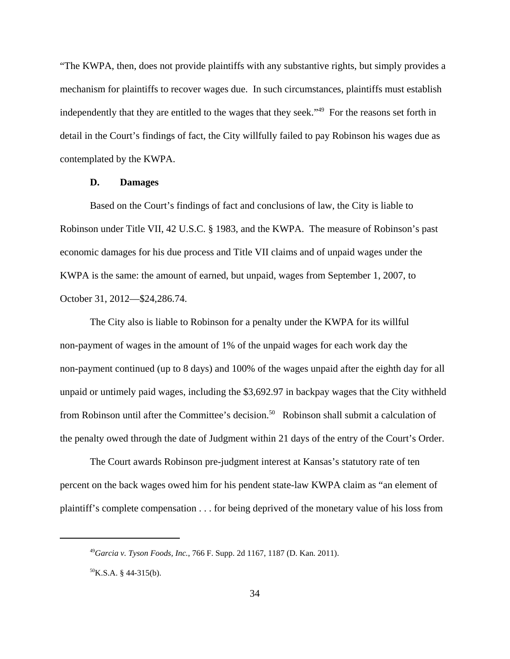"The KWPA, then, does not provide plaintiffs with any substantive rights, but simply provides a mechanism for plaintiffs to recover wages due. In such circumstances, plaintiffs must establish independently that they are entitled to the wages that they seek."<sup>49</sup> For the reasons set forth in detail in the Court's findings of fact, the City willfully failed to pay Robinson his wages due as contemplated by the KWPA.

#### **D. Damages**

Based on the Court's findings of fact and conclusions of law, the City is liable to Robinson under Title VII, 42 U.S.C. § 1983, and the KWPA. The measure of Robinson's past economic damages for his due process and Title VII claims and of unpaid wages under the KWPA is the same: the amount of earned, but unpaid, wages from September 1, 2007, to October 31, 2012—\$24,286.74.

The City also is liable to Robinson for a penalty under the KWPA for its willful non-payment of wages in the amount of 1% of the unpaid wages for each work day the non-payment continued (up to 8 days) and 100% of the wages unpaid after the eighth day for all unpaid or untimely paid wages, including the \$3,692.97 in backpay wages that the City withheld from Robinson until after the Committee's decision.<sup>50</sup> Robinson shall submit a calculation of the penalty owed through the date of Judgment within 21 days of the entry of the Court's Order.

The Court awards Robinson pre-judgment interest at Kansas's statutory rate of ten percent on the back wages owed him for his pendent state-law KWPA claim as "an element of plaintiff's complete compensation . . . for being deprived of the monetary value of his loss from

<sup>49</sup>*Garcia v. Tyson Foods, Inc.*, 766 F. Supp. 2d 1167, 1187 (D. Kan. 2011).

 $^{50}$ K.S.A. § 44-315(b).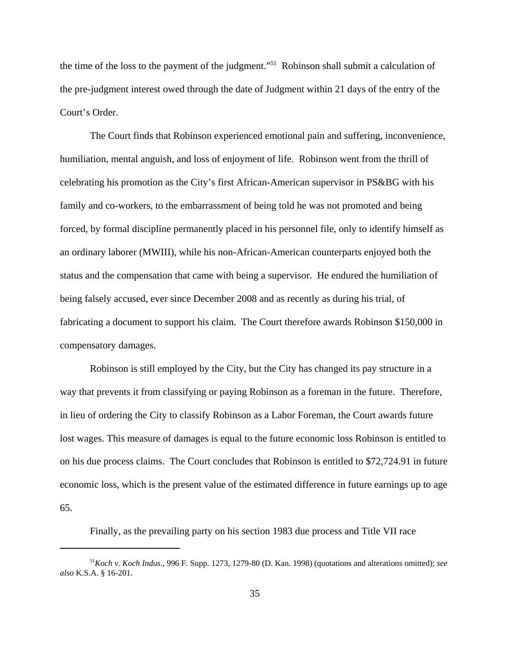the time of the loss to the payment of the judgment."<sup>51</sup> Robinson shall submit a calculation of the pre-judgment interest owed through the date of Judgment within 21 days of the entry of the Court's Order.

The Court finds that Robinson experienced emotional pain and suffering, inconvenience, humiliation, mental anguish, and loss of enjoyment of life. Robinson went from the thrill of celebrating his promotion as the City's first African-American supervisor in PS&BG with his family and co-workers, to the embarrassment of being told he was not promoted and being forced, by formal discipline permanently placed in his personnel file, only to identify himself as an ordinary laborer (MWIII), while his non-African-American counterparts enjoyed both the status and the compensation that came with being a supervisor. He endured the humiliation of being falsely accused, ever since December 2008 and as recently as during his trial, of fabricating a document to support his claim. The Court therefore awards Robinson \$150,000 in compensatory damages.

Robinson is still employed by the City, but the City has changed its pay structure in a way that prevents it from classifying or paying Robinson as a foreman in the future. Therefore, in lieu of ordering the City to classify Robinson as a Labor Foreman, the Court awards future lost wages. This measure of damages is equal to the future economic loss Robinson is entitled to on his due process claims. The Court concludes that Robinson is entitled to \$72,724.91 in future economic loss, which is the present value of the estimated difference in future earnings up to age 65.

Finally, as the prevailing party on his section 1983 due process and Title VII race

<sup>51</sup>*Koch v. Koch Indus*., 996 F. Supp. 1273, 1279-80 (D. Kan. 1998) (quotations and alterations omitted); *see also* K.S.A. § 16-201.